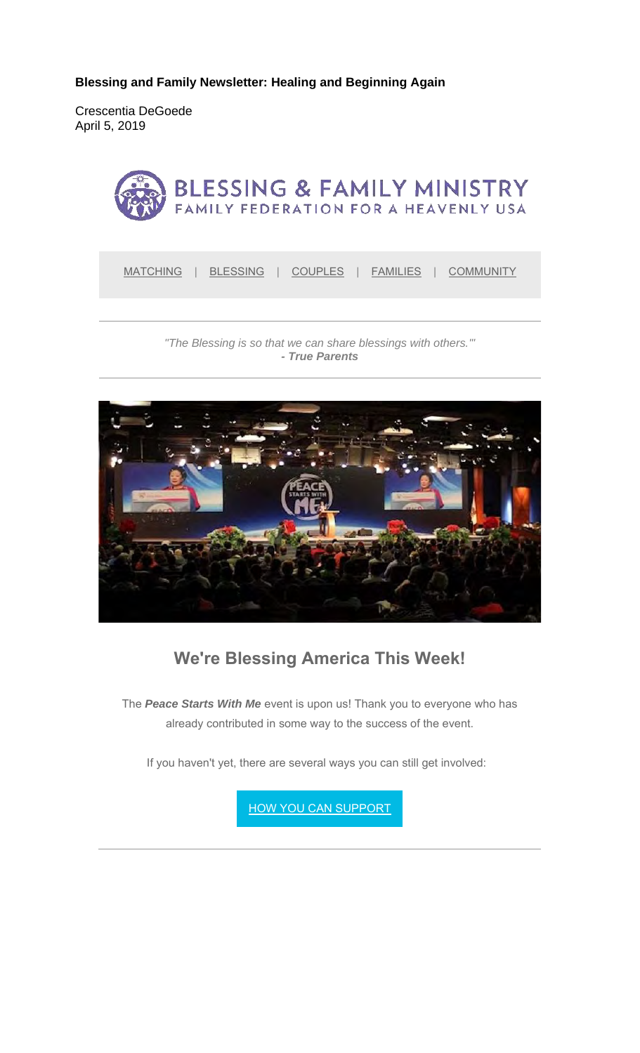**Blessing and Family Newsletter: Healing and Beginning Again**

Crescentia DeGoede April 5, 2019



*"The Blessing is so that we can share blessings with others.'" - True Parents*



## **We're Blessing America This Week!**

The *Peace Starts With Me* event is upon us! Thank you to everyone who has already contributed in some way to the success of the event.

If you haven't yet, there are several ways you can still get involved:

**HOW YOU CAN SUPPORT**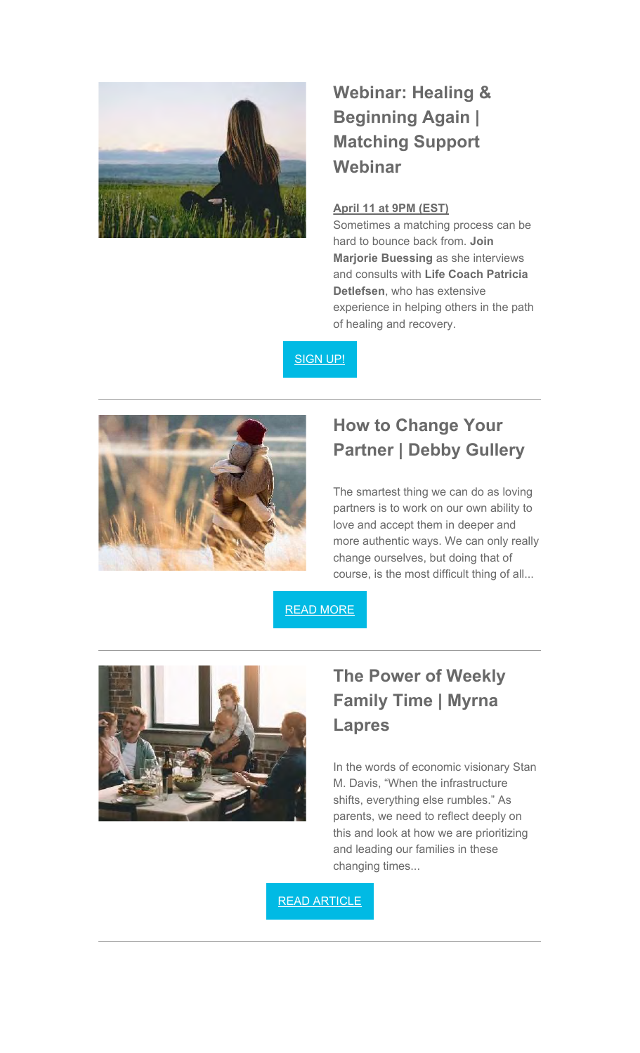

# **Webinar: Healing & Beginning Again | Matching Support Webinar**

#### **April 11 at 9PM (EST)**

Sometimes a matching process can be hard to bounce back from. **Join Marjorie Buessing** as she interviews and consults with **Life Coach Patricia Detlefsen**, who has extensive experience in helping others in the path of healing and recovery.

SIGN UP!



#### **How to Change Your Partner | Debby Gullery**

The smartest thing we can do as loving partners is to work on our own ability to love and accept them in deeper and more authentic ways. We can only really change ourselves, but doing that of course, is the most difficult thing of all...

READ MORE



### **The Power of Weekly Family Time | Myrna Lapres**

In the words of economic visionary Stan M. Davis, "When the infrastructure shifts, everything else rumbles." As parents, we need to reflect deeply on this and look at how we are prioritizing and leading our families in these changing times...

READ ARTICLE